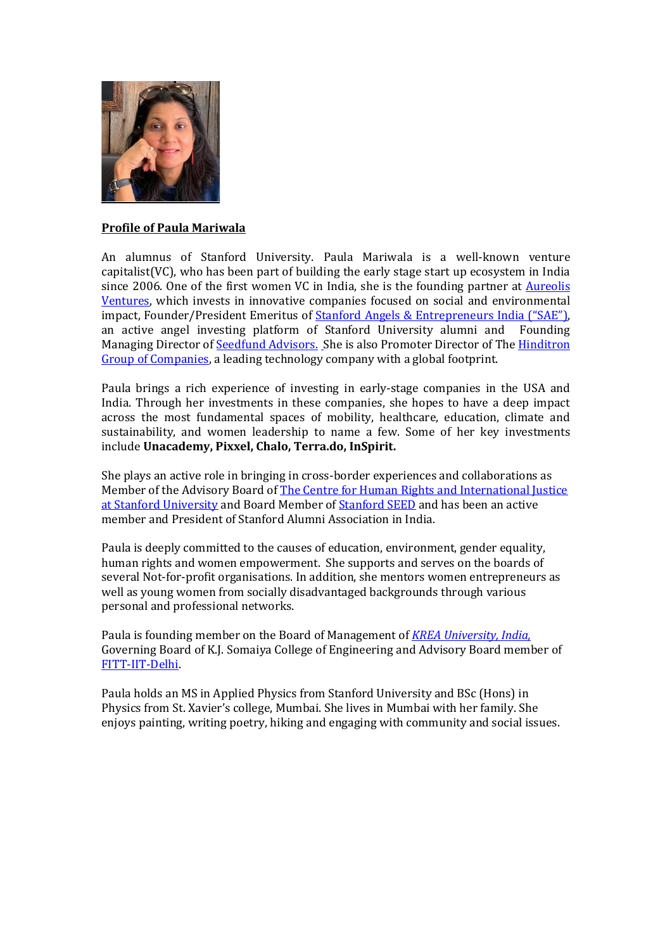

## **Profile of Paula Mariwala**

An alumnus of Stanford University. Paula Mariwala is a well-known venture capitalist(VC), who has been part of building the early stage start up ecosystem in India since 2006. One of the first women VC in India, she is the founding partner at Aureolis [Ventures,](https://www.aureolis.co.in/) which invests in innovative companies focused on social and environmental impact, Founder/President Emeritus of Stanford Angels & [Entrepreneurs India](http://www.stanfordangels.co.in/) ("SAE"), an active angel investing platform of Stanford University alumni and Founding Managing Director o[f Seedfund](http://www.seedfund.in/) Advisors. She is also Promoter Director of The [Hinditron](http://www.hinditron.com/)  [Group of Companies,](http://www.hinditron.com/) a leading technology company with a global footprint.

Paula brings a rich experience of investing in early-stage companies in the USA and India. Through her investments in these companies, she hopes to have a deep impact across the most fundamental spaces of mobility, healthcare, education, climate and sustainability, and women leadership to name a few. Some of her key investments include **Unacademy, Pixxel, Chalo, Terra.do, InSpirit.** 

She plays an active role in bringing in cross-border experiences and collaborations as Member of the Advisory Board of [The Centre for Human Rights and International Justice](https://humanrights.stanford.edu/)  [at Stanford University](https://humanrights.stanford.edu/) and Board Member of [Stanford SEED](https://www.gsb.stanford.edu/seed) and has been an active member and President of Stanford Alumni Association in India.

Paula is deeply committed to the causes of education, environment, gender equality, human rights and women empowerment. She supports and serves on the boards of several Not-for-profit organisations. In addition, she mentors women entrepreneurs as well as young women from socially disadvantaged backgrounds through various personal and professional networks.

Paula is founding member on the Board of Management of *[KREA University,](http://www.krea.edu.in/) India,*  Governing Board of K.J. Somaiya College of Engineering and Advisory Board member of [FITT-IIT-Delhi.](https://fitt-iitd.in/)

Paula holds an MS in Applied Physics from Stanford University and BSc (Hons) in Physics from St. Xavier's college, Mumbai. She lives in Mumbai with her family. She enjoys painting, writing poetry, hiking and engaging with community and social issues.